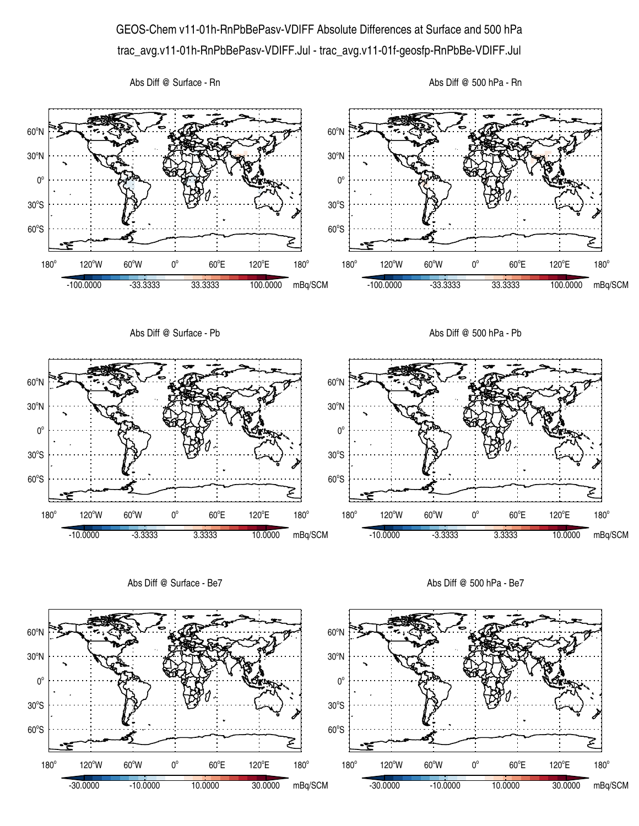## GEOS-Chem v11-01h-RnPbBePasv-VDIFF Absolute Differences at Surface and 500 hPa trac\_avg.v11-01h-RnPbBePasv-VDIFF.Jul - trac\_avg.v11-01f-geosfp-RnPbBe-VDIFF.Jul

Abs Diff @ Surface - Rn





Abs Diff @ Surface - Be7

Abs Diff @ 500 hPa - Be7